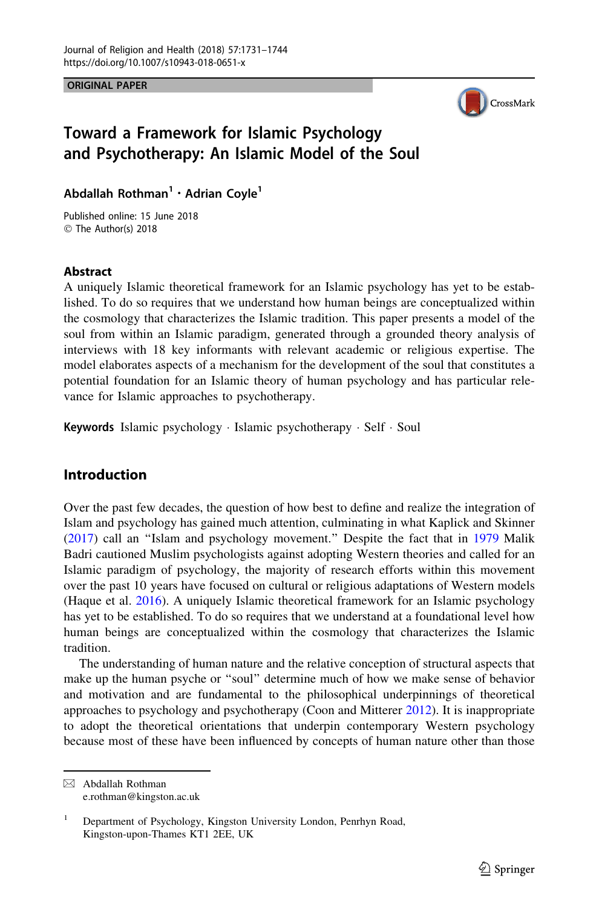ORIGINAL PAPER



# Toward a Framework for Islamic Psychology and Psychotherapy: An Islamic Model of the Soul

Abdallah Rothman $1 \cdot$  Adrian Coyle<sup>1</sup>

Published online: 15 June 2018  $\circledcirc$  The Author(s) 2018

# Abstract

A uniquely Islamic theoretical framework for an Islamic psychology has yet to be established. To do so requires that we understand how human beings are conceptualized within the cosmology that characterizes the Islamic tradition. This paper presents a model of the soul from within an Islamic paradigm, generated through a grounded theory analysis of interviews with 18 key informants with relevant academic or religious expertise. The model elaborates aspects of a mechanism for the development of the soul that constitutes a potential foundation for an Islamic theory of human psychology and has particular relevance for Islamic approaches to psychotherapy.

Keywords Islamic psychology · Islamic psychotherapy · Self · Soul

# Introduction

Over the past few decades, the question of how best to define and realize the integration of Islam and psychology has gained much attention, culminating in what Kaplick and Skinner ([2017\)](#page-13-0) call an ''Islam and psychology movement.'' Despite the fact that in [1979](#page-13-0) Malik Badri cautioned Muslim psychologists against adopting Western theories and called for an Islamic paradigm of psychology, the majority of research efforts within this movement over the past 10 years have focused on cultural or religious adaptations of Western models (Haque et al. [2016\)](#page-13-0). A uniquely Islamic theoretical framework for an Islamic psychology has yet to be established. To do so requires that we understand at a foundational level how human beings are conceptualized within the cosmology that characterizes the Islamic tradition.

The understanding of human nature and the relative conception of structural aspects that make up the human psyche or ''soul'' determine much of how we make sense of behavior and motivation and are fundamental to the philosophical underpinnings of theoretical approaches to psychology and psychotherapy (Coon and Mitterer [2012\)](#page-13-0). It is inappropriate to adopt the theoretical orientations that underpin contemporary Western psychology because most of these have been influenced by concepts of human nature other than those

 $\boxtimes$  Abdallah Rothman e.rothman@kingston.ac.uk

<sup>&</sup>lt;sup>1</sup> Department of Psychology, Kingston University London, Penrhyn Road, Kingston-upon-Thames KT1 2EE, UK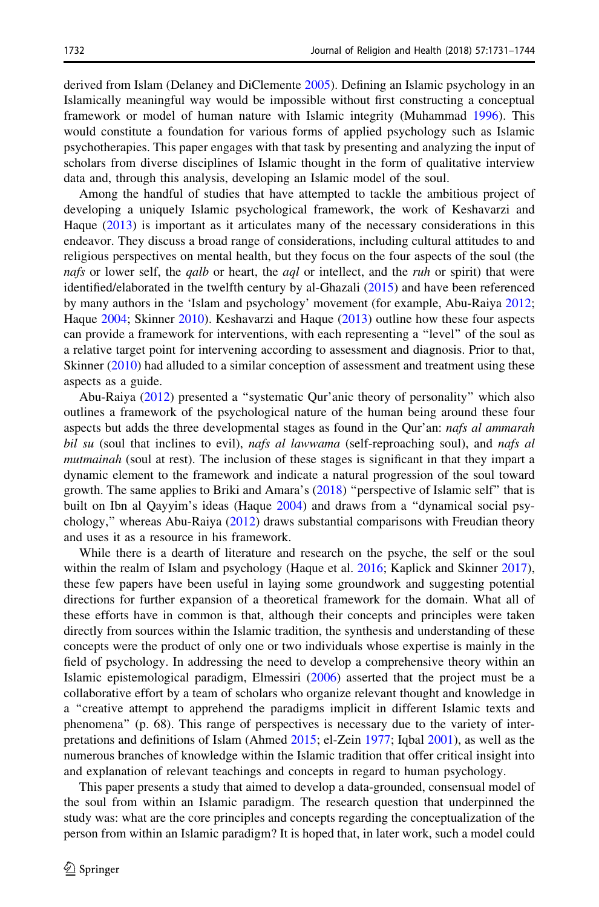derived from Islam (Delaney and DiClemente [2005\)](#page-13-0). Defining an Islamic psychology in an Islamically meaningful way would be impossible without first constructing a conceptual framework or model of human nature with Islamic integrity (Muhammad [1996\)](#page-13-0). This would constitute a foundation for various forms of applied psychology such as Islamic psychotherapies. This paper engages with that task by presenting and analyzing the input of scholars from diverse disciplines of Islamic thought in the form of qualitative interview data and, through this analysis, developing an Islamic model of the soul.

Among the handful of studies that have attempted to tackle the ambitious project of developing a uniquely Islamic psychological framework, the work of Keshavarzi and Haque [\(2013](#page-13-0)) is important as it articulates many of the necessary considerations in this endeavor. They discuss a broad range of considerations, including cultural attitudes to and religious perspectives on mental health, but they focus on the four aspects of the soul (the nafs or lower self, the *qalb* or heart, the *aql* or intellect, and the *ruh* or spirit) that were identified/elaborated in the twelfth century by al-Ghazali [\(2015](#page-13-0)) and have been referenced by many authors in the 'Islam and psychology' movement (for example, Abu-Raiya [2012;](#page-13-0) Haque [2004](#page-13-0); Skinner [2010\)](#page-13-0). Keshavarzi and Haque [\(2013\)](#page-13-0) outline how these four aspects can provide a framework for interventions, with each representing a ''level'' of the soul as a relative target point for intervening according to assessment and diagnosis. Prior to that, Skinner ([2010\)](#page-13-0) had alluded to a similar conception of assessment and treatment using these aspects as a guide.

Abu-Raiya ([2012\)](#page-13-0) presented a ''systematic Qur'anic theory of personality'' which also outlines a framework of the psychological nature of the human being around these four aspects but adds the three developmental stages as found in the Qur'an: *nafs al ammarah* bil su (soul that inclines to evil), nafs al lawwama (self-reproaching soul), and nafs al mutmainah (soul at rest). The inclusion of these stages is significant in that they impart a dynamic element to the framework and indicate a natural progression of the soul toward growth. The same applies to Briki and Amara's [\(2018](#page-13-0)) ''perspective of Islamic self'' that is built on Ibn al Qayyim's ideas (Haque [2004](#page-13-0)) and draws from a ''dynamical social psychology,'' whereas Abu-Raiya ([2012\)](#page-13-0) draws substantial comparisons with Freudian theory and uses it as a resource in his framework.

While there is a dearth of literature and research on the psyche, the self or the soul within the realm of Islam and psychology (Haque et al. [2016](#page-13-0); Kaplick and Skinner [2017](#page-13-0)), these few papers have been useful in laying some groundwork and suggesting potential directions for further expansion of a theoretical framework for the domain. What all of these efforts have in common is that, although their concepts and principles were taken directly from sources within the Islamic tradition, the synthesis and understanding of these concepts were the product of only one or two individuals whose expertise is mainly in the field of psychology. In addressing the need to develop a comprehensive theory within an Islamic epistemological paradigm, Elmessiri [\(2006](#page-13-0)) asserted that the project must be a collaborative effort by a team of scholars who organize relevant thought and knowledge in a ''creative attempt to apprehend the paradigms implicit in different Islamic texts and phenomena'' (p. 68). This range of perspectives is necessary due to the variety of interpretations and definitions of Islam (Ahmed [2015](#page-13-0); el-Zein [1977;](#page-13-0) Iqbal [2001\)](#page-13-0), as well as the numerous branches of knowledge within the Islamic tradition that offer critical insight into and explanation of relevant teachings and concepts in regard to human psychology.

This paper presents a study that aimed to develop a data-grounded, consensual model of the soul from within an Islamic paradigm. The research question that underpinned the study was: what are the core principles and concepts regarding the conceptualization of the person from within an Islamic paradigm? It is hoped that, in later work, such a model could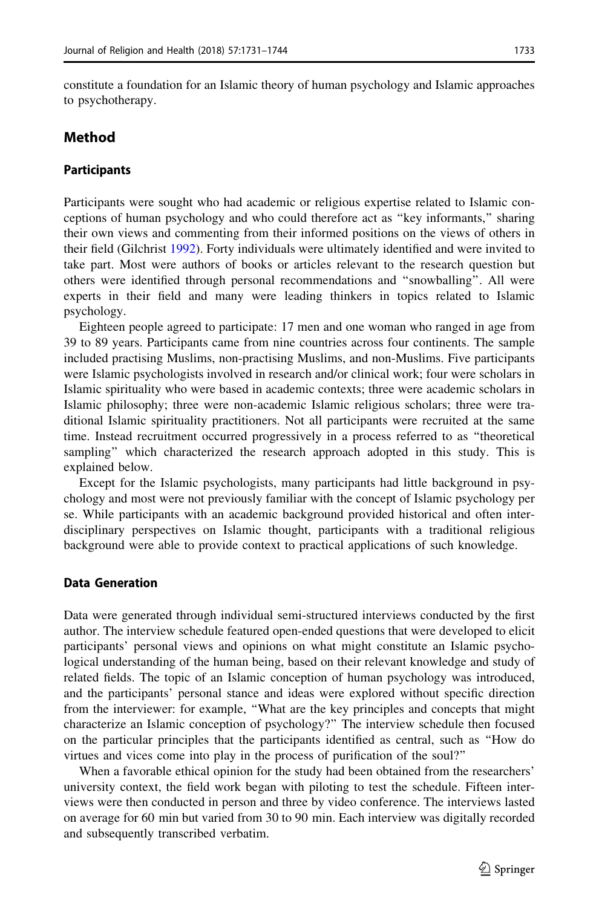constitute a foundation for an Islamic theory of human psychology and Islamic approaches to psychotherapy.

# Method

#### **Participants**

Participants were sought who had academic or religious expertise related to Islamic conceptions of human psychology and who could therefore act as ''key informants,'' sharing their own views and commenting from their informed positions on the views of others in their field (Gilchrist [1992\)](#page-13-0). Forty individuals were ultimately identified and were invited to take part. Most were authors of books or articles relevant to the research question but others were identified through personal recommendations and ''snowballing''. All were experts in their field and many were leading thinkers in topics related to Islamic psychology.

Eighteen people agreed to participate: 17 men and one woman who ranged in age from 39 to 89 years. Participants came from nine countries across four continents. The sample included practising Muslims, non-practising Muslims, and non-Muslims. Five participants were Islamic psychologists involved in research and/or clinical work; four were scholars in Islamic spirituality who were based in academic contexts; three were academic scholars in Islamic philosophy; three were non-academic Islamic religious scholars; three were traditional Islamic spirituality practitioners. Not all participants were recruited at the same time. Instead recruitment occurred progressively in a process referred to as ''theoretical sampling'' which characterized the research approach adopted in this study. This is explained below.

Except for the Islamic psychologists, many participants had little background in psychology and most were not previously familiar with the concept of Islamic psychology per se. While participants with an academic background provided historical and often interdisciplinary perspectives on Islamic thought, participants with a traditional religious background were able to provide context to practical applications of such knowledge.

#### Data Generation

Data were generated through individual semi-structured interviews conducted by the first author. The interview schedule featured open-ended questions that were developed to elicit participants' personal views and opinions on what might constitute an Islamic psychological understanding of the human being, based on their relevant knowledge and study of related fields. The topic of an Islamic conception of human psychology was introduced, and the participants' personal stance and ideas were explored without specific direction from the interviewer: for example, ''What are the key principles and concepts that might characterize an Islamic conception of psychology?'' The interview schedule then focused on the particular principles that the participants identified as central, such as ''How do virtues and vices come into play in the process of purification of the soul?''

When a favorable ethical opinion for the study had been obtained from the researchers' university context, the field work began with piloting to test the schedule. Fifteen interviews were then conducted in person and three by video conference. The interviews lasted on average for 60 min but varied from 30 to 90 min. Each interview was digitally recorded and subsequently transcribed verbatim.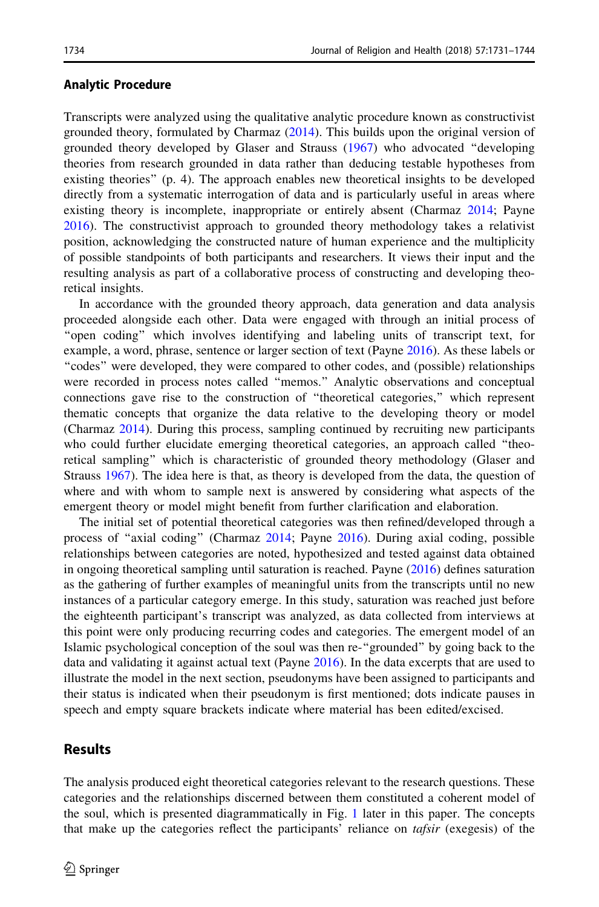#### Analytic Procedure

Transcripts were analyzed using the qualitative analytic procedure known as constructivist grounded theory, formulated by Charmaz [\(2014](#page-13-0)). This builds upon the original version of grounded theory developed by Glaser and Strauss [\(1967\)](#page-13-0) who advocated ''developing theories from research grounded in data rather than deducing testable hypotheses from existing theories'' (p. 4). The approach enables new theoretical insights to be developed directly from a systematic interrogation of data and is particularly useful in areas where existing theory is incomplete, inappropriate or entirely absent (Charmaz [2014](#page-13-0); Payne [2016\)](#page-13-0). The constructivist approach to grounded theory methodology takes a relativist position, acknowledging the constructed nature of human experience and the multiplicity of possible standpoints of both participants and researchers. It views their input and the resulting analysis as part of a collaborative process of constructing and developing theoretical insights.

In accordance with the grounded theory approach, data generation and data analysis proceeded alongside each other. Data were engaged with through an initial process of ''open coding'' which involves identifying and labeling units of transcript text, for example, a word, phrase, sentence or larger section of text (Payne [2016\)](#page-13-0). As these labels or ''codes'' were developed, they were compared to other codes, and (possible) relationships were recorded in process notes called ''memos.'' Analytic observations and conceptual connections gave rise to the construction of ''theoretical categories,'' which represent thematic concepts that organize the data relative to the developing theory or model (Charmaz [2014\)](#page-13-0). During this process, sampling continued by recruiting new participants who could further elucidate emerging theoretical categories, an approach called ''theoretical sampling'' which is characteristic of grounded theory methodology (Glaser and Strauss [1967\)](#page-13-0). The idea here is that, as theory is developed from the data, the question of where and with whom to sample next is answered by considering what aspects of the emergent theory or model might benefit from further clarification and elaboration.

The initial set of potential theoretical categories was then refined/developed through a process of ''axial coding'' (Charmaz [2014](#page-13-0); Payne [2016\)](#page-13-0). During axial coding, possible relationships between categories are noted, hypothesized and tested against data obtained in ongoing theoretical sampling until saturation is reached. Payne [\(2016](#page-13-0)) defines saturation as the gathering of further examples of meaningful units from the transcripts until no new instances of a particular category emerge. In this study, saturation was reached just before the eighteenth participant's transcript was analyzed, as data collected from interviews at this point were only producing recurring codes and categories. The emergent model of an Islamic psychological conception of the soul was then re-''grounded'' by going back to the data and validating it against actual text (Payne [2016](#page-13-0)). In the data excerpts that are used to illustrate the model in the next section, pseudonyms have been assigned to participants and their status is indicated when their pseudonym is first mentioned; dots indicate pauses in speech and empty square brackets indicate where material has been edited/excised.

# Results

The analysis produced eight theoretical categories relevant to the research questions. These categories and the relationships discerned between them constituted a coherent model of the soul, which is presented diagrammatically in Fig. [1](#page-11-0) later in this paper. The concepts that make up the categories reflect the participants' reliance on tafsir (exegesis) of the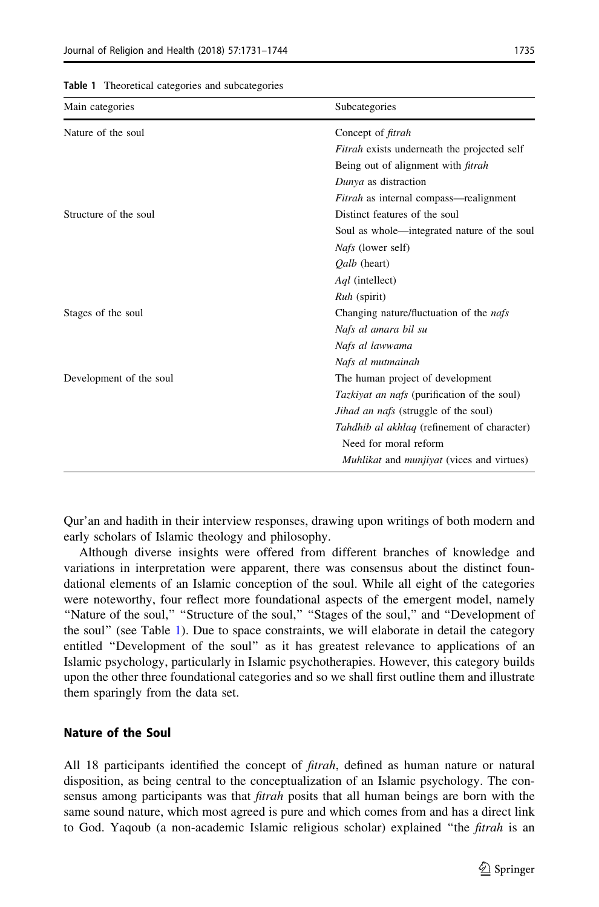| Main categories         | Subcategories                                    |
|-------------------------|--------------------------------------------------|
| Nature of the soul      | Concept of <i>fitrah</i>                         |
|                         | Fitrah exists underneath the projected self      |
|                         | Being out of alignment with <i>fitrah</i>        |
|                         | Dunya as distraction                             |
|                         | Fitrah as internal compass—realignment           |
| Structure of the soul   | Distinct features of the soul                    |
|                         | Soul as whole—integrated nature of the soul      |
|                         | <i>Nafs</i> (lower self)                         |
|                         | <i>Oalb</i> (heart)                              |
|                         | Aql (intellect)                                  |
|                         | <i>Ruh</i> (spirit)                              |
| Stages of the soul      | Changing nature/fluctuation of the <i>nafs</i>   |
|                         | Nafs al amara bil su                             |
|                         | Nafs al lawwama                                  |
|                         | Nafs al mutmainah                                |
| Development of the soul | The human project of development                 |
|                         | Tazkiyat an nafs (purification of the soul)      |
|                         | Jihad an nafs (struggle of the soul)             |
|                         | Tahdhib al akhlaq (refinement of character)      |
|                         | Need for moral reform                            |
|                         | Muhlikat and <i>munjiyat</i> (vices and virtues) |
|                         |                                                  |

Table 1 Theoretical categories and subcategories

Qur'an and hadith in their interview responses, drawing upon writings of both modern and early scholars of Islamic theology and philosophy.

Although diverse insights were offered from different branches of knowledge and variations in interpretation were apparent, there was consensus about the distinct foundational elements of an Islamic conception of the soul. While all eight of the categories were noteworthy, four reflect more foundational aspects of the emergent model, namely ''Nature of the soul,'' ''Structure of the soul,'' ''Stages of the soul,'' and ''Development of the soul'' (see Table 1). Due to space constraints, we will elaborate in detail the category entitled ''Development of the soul'' as it has greatest relevance to applications of an Islamic psychology, particularly in Islamic psychotherapies. However, this category builds upon the other three foundational categories and so we shall first outline them and illustrate them sparingly from the data set.

# Nature of the Soul

All 18 participants identified the concept of fitrah, defined as human nature or natural disposition, as being central to the conceptualization of an Islamic psychology. The consensus among participants was that *fitrah* posits that all human beings are born with the same sound nature, which most agreed is pure and which comes from and has a direct link to God. Yaqoub (a non-academic Islamic religious scholar) explained "the *fitrah* is an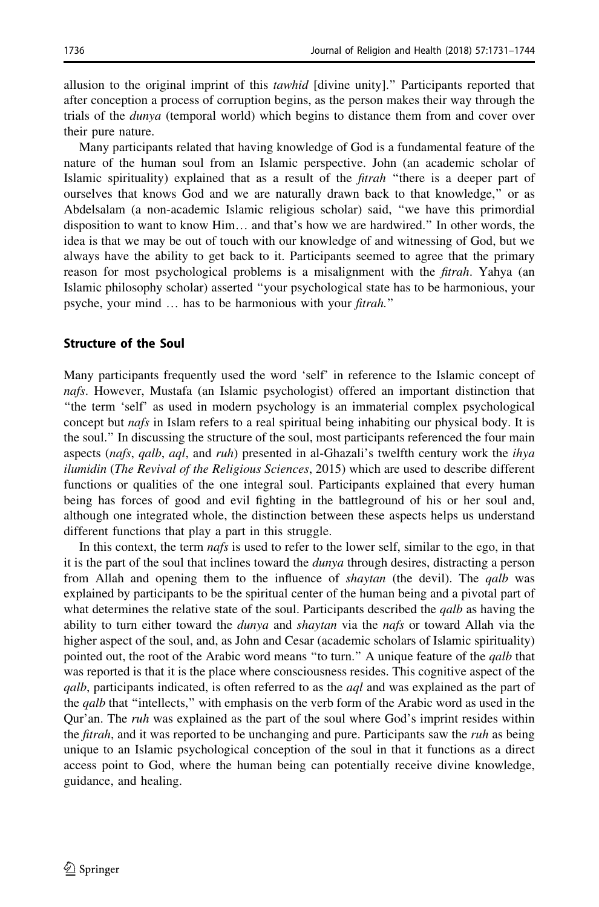allusion to the original imprint of this tawhid [divine unity].'' Participants reported that after conception a process of corruption begins, as the person makes their way through the trials of the *dunya* (temporal world) which begins to distance them from and cover over their pure nature.

Many participants related that having knowledge of God is a fundamental feature of the nature of the human soul from an Islamic perspective. John (an academic scholar of Islamic spirituality) explained that as a result of the fitrah ''there is a deeper part of ourselves that knows God and we are naturally drawn back to that knowledge,'' or as Abdelsalam (a non-academic Islamic religious scholar) said, ''we have this primordial disposition to want to know Him… and that's how we are hardwired.'' In other words, the idea is that we may be out of touch with our knowledge of and witnessing of God, but we always have the ability to get back to it. Participants seemed to agree that the primary reason for most psychological problems is a misalignment with the *fitrah*. Yahya (an Islamic philosophy scholar) asserted ''your psychological state has to be harmonious, your psyche, your mind ... has to be harmonious with your *fitrah*."

## Structure of the Soul

Many participants frequently used the word 'self' in reference to the Islamic concept of nafs. However, Mustafa (an Islamic psychologist) offered an important distinction that ''the term 'self' as used in modern psychology is an immaterial complex psychological concept but *nafs* in Islam refers to a real spiritual being inhabiting our physical body. It is the soul.'' In discussing the structure of the soul, most participants referenced the four main aspects (nafs, qalb, aql, and ruh) presented in al-Ghazali's twelfth century work the ihya ilumidin (The Revival of the Religious Sciences, 2015) which are used to describe different functions or qualities of the one integral soul. Participants explained that every human being has forces of good and evil fighting in the battleground of his or her soul and, although one integrated whole, the distinction between these aspects helps us understand different functions that play a part in this struggle.

In this context, the term *nafs* is used to refer to the lower self, similar to the ego, in that it is the part of the soul that inclines toward the *dunya* through desires, distracting a person from Allah and opening them to the influence of *shaytan* (the devil). The *qalb* was explained by participants to be the spiritual center of the human being and a pivotal part of what determines the relative state of the soul. Participants described the *qalb* as having the ability to turn either toward the *dunya* and *shaytan* via the *nafs* or toward Allah via the higher aspect of the soul, and, as John and Cesar (academic scholars of Islamic spirituality) pointed out, the root of the Arabic word means "to turn." A unique feature of the *qalb* that was reported is that it is the place where consciousness resides. This cognitive aspect of the qalb, participants indicated, is often referred to as the *aql* and was explained as the part of the *qalb* that "intellects," with emphasis on the verb form of the Arabic word as used in the Qur'an. The ruh was explained as the part of the soul where God's imprint resides within the *fitrah*, and it was reported to be unchanging and pure. Participants saw the *ruh* as being unique to an Islamic psychological conception of the soul in that it functions as a direct access point to God, where the human being can potentially receive divine knowledge, guidance, and healing.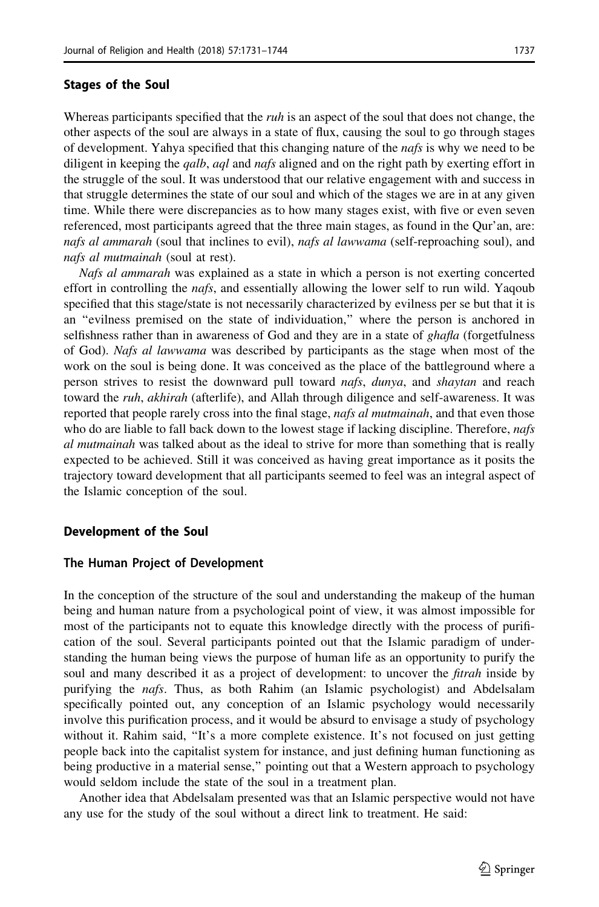### Stages of the Soul

Whereas participants specified that the *ruh* is an aspect of the soul that does not change, the other aspects of the soul are always in a state of flux, causing the soul to go through stages of development. Yahya specified that this changing nature of the *nafs* is why we need to be diligent in keeping the *qalb*, *aql* and *nafs* aligned and on the right path by exerting effort in the struggle of the soul. It was understood that our relative engagement with and success in that struggle determines the state of our soul and which of the stages we are in at any given time. While there were discrepancies as to how many stages exist, with five or even seven referenced, most participants agreed that the three main stages, as found in the Qur'an, are: nafs al ammarah (soul that inclines to evil), nafs al lawwama (self-reproaching soul), and nafs al mutmainah (soul at rest).

Nafs al ammarah was explained as a state in which a person is not exerting concerted effort in controlling the nafs, and essentially allowing the lower self to run wild. Yaqoub specified that this stage/state is not necessarily characterized by evilness per se but that it is an ''evilness premised on the state of individuation,'' where the person is anchored in selfishness rather than in awareness of God and they are in a state of *ghafla* (forgetfulness of God). Nafs al lawwama was described by participants as the stage when most of the work on the soul is being done. It was conceived as the place of the battleground where a person strives to resist the downward pull toward *nafs*, *dunya*, and *shaytan* and reach toward the *ruh, akhirah* (afterlife), and Allah through diligence and self-awareness. It was reported that people rarely cross into the final stage, *nafs al mutmainah*, and that even those who do are liable to fall back down to the lowest stage if lacking discipline. Therefore, *nafs* al mutmainah was talked about as the ideal to strive for more than something that is really expected to be achieved. Still it was conceived as having great importance as it posits the trajectory toward development that all participants seemed to feel was an integral aspect of the Islamic conception of the soul.

# Development of the Soul

#### The Human Project of Development

In the conception of the structure of the soul and understanding the makeup of the human being and human nature from a psychological point of view, it was almost impossible for most of the participants not to equate this knowledge directly with the process of purification of the soul. Several participants pointed out that the Islamic paradigm of understanding the human being views the purpose of human life as an opportunity to purify the soul and many described it as a project of development: to uncover the *fitrah* inside by purifying the nafs. Thus, as both Rahim (an Islamic psychologist) and Abdelsalam specifically pointed out, any conception of an Islamic psychology would necessarily involve this purification process, and it would be absurd to envisage a study of psychology without it. Rahim said, "It's a more complete existence. It's not focused on just getting people back into the capitalist system for instance, and just defining human functioning as being productive in a material sense,'' pointing out that a Western approach to psychology would seldom include the state of the soul in a treatment plan.

Another idea that Abdelsalam presented was that an Islamic perspective would not have any use for the study of the soul without a direct link to treatment. He said: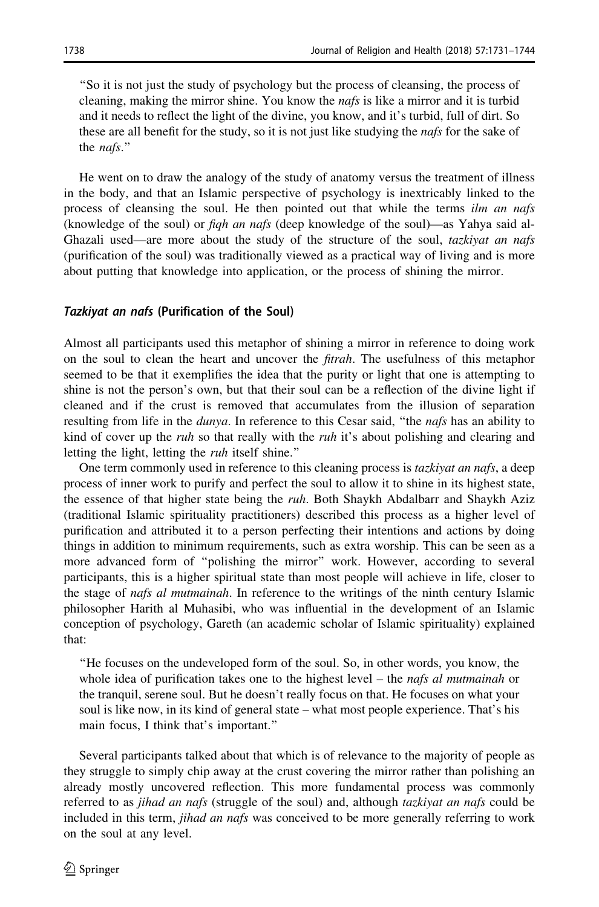''So it is not just the study of psychology but the process of cleansing, the process of cleaning, making the mirror shine. You know the nafs is like a mirror and it is turbid and it needs to reflect the light of the divine, you know, and it's turbid, full of dirt. So these are all benefit for the study, so it is not just like studying the *nafs* for the sake of the nafs.''

He went on to draw the analogy of the study of anatomy versus the treatment of illness in the body, and that an Islamic perspective of psychology is inextricably linked to the process of cleansing the soul. He then pointed out that while the terms *ilm an nafs* (knowledge of the soul) or fiqh an nafs (deep knowledge of the soul)—as Yahya said al-Ghazali used—are more about the study of the structure of the soul, tazkiyat an nafs (purification of the soul) was traditionally viewed as a practical way of living and is more about putting that knowledge into application, or the process of shining the mirror.

## Tazkiyat an nafs (Purification of the Soul)

Almost all participants used this metaphor of shining a mirror in reference to doing work on the soul to clean the heart and uncover the fitrah. The usefulness of this metaphor seemed to be that it exemplifies the idea that the purity or light that one is attempting to shine is not the person's own, but that their soul can be a reflection of the divine light if cleaned and if the crust is removed that accumulates from the illusion of separation resulting from life in the *dunya*. In reference to this Cesar said, "the *nafs* has an ability to kind of cover up the *ruh* so that really with the *ruh* it's about polishing and clearing and letting the light, letting the ruh itself shine.''

One term commonly used in reference to this cleaning process is *tazkiyat an nafs*, a deep process of inner work to purify and perfect the soul to allow it to shine in its highest state, the essence of that higher state being the *ruh*. Both Shaykh Abdalbarr and Shaykh Aziz (traditional Islamic spirituality practitioners) described this process as a higher level of purification and attributed it to a person perfecting their intentions and actions by doing things in addition to minimum requirements, such as extra worship. This can be seen as a more advanced form of ''polishing the mirror'' work. However, according to several participants, this is a higher spiritual state than most people will achieve in life, closer to the stage of *nafs al mutmainah*. In reference to the writings of the ninth century Islamic philosopher Harith al Muhasibi, who was influential in the development of an Islamic conception of psychology, Gareth (an academic scholar of Islamic spirituality) explained that:

''He focuses on the undeveloped form of the soul. So, in other words, you know, the whole idea of purification takes one to the highest level – the *nafs al mutmainah* or the tranquil, serene soul. But he doesn't really focus on that. He focuses on what your soul is like now, in its kind of general state – what most people experience. That's his main focus, I think that's important.''

Several participants talked about that which is of relevance to the majority of people as they struggle to simply chip away at the crust covering the mirror rather than polishing an already mostly uncovered reflection. This more fundamental process was commonly referred to as *jihad an nafs* (struggle of the soul) and, although *tazkiyat an nafs* could be included in this term, *jihad an nafs* was conceived to be more generally referring to work on the soul at any level.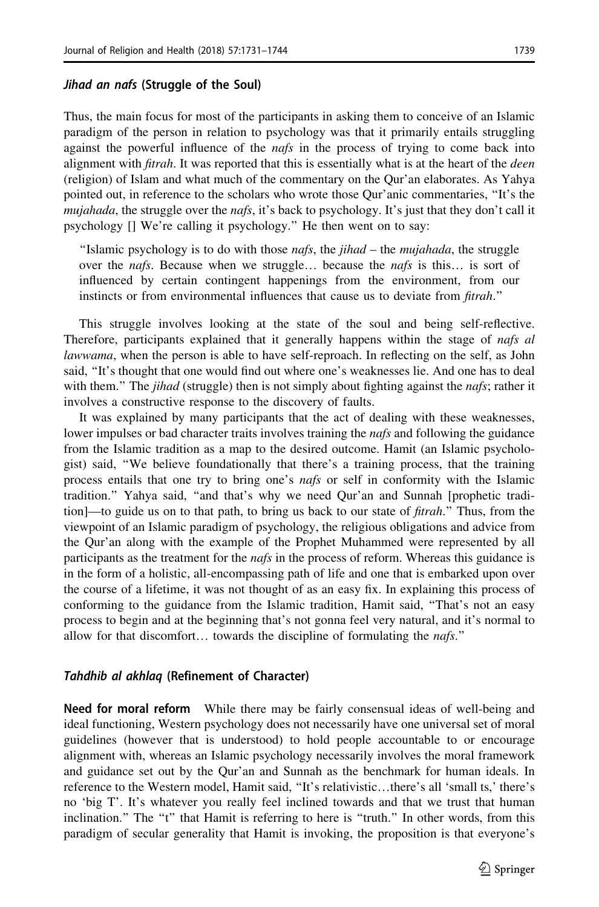#### Jihad an nafs (Struggle of the Soul)

Thus, the main focus for most of the participants in asking them to conceive of an Islamic paradigm of the person in relation to psychology was that it primarily entails struggling against the powerful influence of the *nafs* in the process of trying to come back into alignment with *fitrah*. It was reported that this is essentially what is at the heart of the *deen* (religion) of Islam and what much of the commentary on the Qur'an elaborates. As Yahya pointed out, in reference to the scholars who wrote those Qur'anic commentaries, ''It's the mujahada, the struggle over the nafs, it's back to psychology. It's just that they don't call it psychology [] We're calling it psychology.'' He then went on to say:

"Islamic psychology is to do with those *nafs*, the *jihad* – the *mujahada*, the struggle over the *nafs*. Because when we struggle... because the *nafs* is this... is sort of influenced by certain contingent happenings from the environment, from our instincts or from environmental influences that cause us to deviate from *fitrah*."

This struggle involves looking at the state of the soul and being self-reflective. Therefore, participants explained that it generally happens within the stage of *nafs al* lawwama, when the person is able to have self-reproach. In reflecting on the self, as John said, ''It's thought that one would find out where one's weaknesses lie. And one has to deal with them." The *jihad* (struggle) then is not simply about fighting against the *nafs*; rather it involves a constructive response to the discovery of faults.

It was explained by many participants that the act of dealing with these weaknesses, lower impulses or bad character traits involves training the *nafs* and following the guidance from the Islamic tradition as a map to the desired outcome. Hamit (an Islamic psychologist) said, ''We believe foundationally that there's a training process, that the training process entails that one try to bring one's *nafs* or self in conformity with the Islamic tradition.'' Yahya said, ''and that's why we need Qur'an and Sunnah [prophetic tradition]—to guide us on to that path, to bring us back to our state of *fitrah*." Thus, from the viewpoint of an Islamic paradigm of psychology, the religious obligations and advice from the Qur'an along with the example of the Prophet Muhammed were represented by all participants as the treatment for the *nafs* in the process of reform. Whereas this guidance is in the form of a holistic, all-encompassing path of life and one that is embarked upon over the course of a lifetime, it was not thought of as an easy fix. In explaining this process of conforming to the guidance from the Islamic tradition, Hamit said, ''That's not an easy process to begin and at the beginning that's not gonna feel very natural, and it's normal to allow for that discomfort… towards the discipline of formulating the nafs.''

#### Tahdhib al akhlaq (Refinement of Character)

**Need for moral reform** While there may be fairly consensual ideas of well-being and ideal functioning, Western psychology does not necessarily have one universal set of moral guidelines (however that is understood) to hold people accountable to or encourage alignment with, whereas an Islamic psychology necessarily involves the moral framework and guidance set out by the Qur'an and Sunnah as the benchmark for human ideals. In reference to the Western model, Hamit said, ''It's relativistic…there's all 'small ts,' there's no 'big T'. It's whatever you really feel inclined towards and that we trust that human inclination." The "t" that Hamit is referring to here is "truth." In other words, from this paradigm of secular generality that Hamit is invoking, the proposition is that everyone's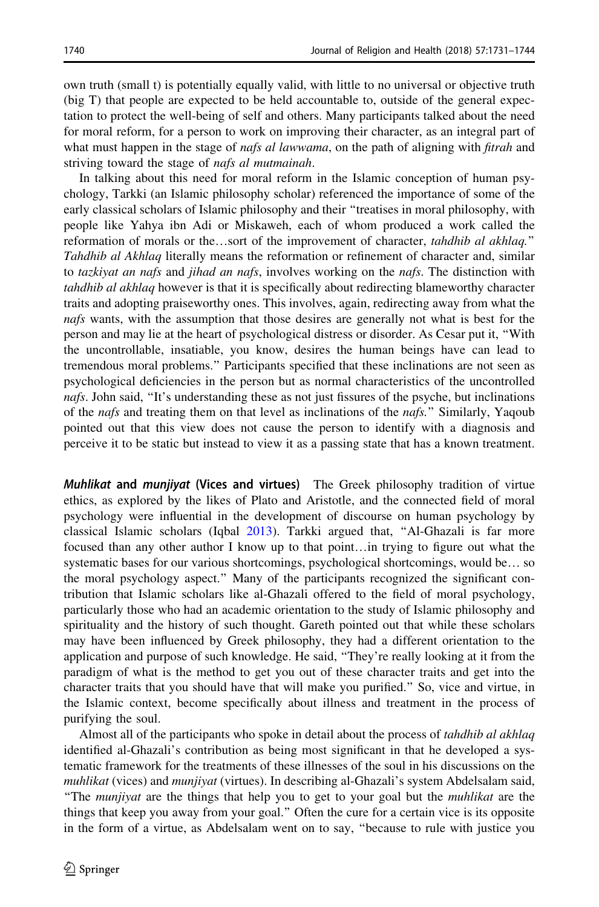own truth (small t) is potentially equally valid, with little to no universal or objective truth (big T) that people are expected to be held accountable to, outside of the general expectation to protect the well-being of self and others. Many participants talked about the need for moral reform, for a person to work on improving their character, as an integral part of what must happen in the stage of *nafs al lawwama*, on the path of aligning with *fitrah* and striving toward the stage of *nafs al mutmainah*.

In talking about this need for moral reform in the Islamic conception of human psychology, Tarkki (an Islamic philosophy scholar) referenced the importance of some of the early classical scholars of Islamic philosophy and their ''treatises in moral philosophy, with people like Yahya ibn Adi or Miskaweh, each of whom produced a work called the reformation of morals or the...sort of the improvement of character, tahdhib al akhlaq." Tahdhib al Akhlaq literally means the reformation or refinement of character and, similar to tazkiyat an nafs and jihad an nafs, involves working on the nafs. The distinction with tahdhib al akhlaq however is that it is specifically about redirecting blameworthy character traits and adopting praiseworthy ones. This involves, again, redirecting away from what the nafs wants, with the assumption that those desires are generally not what is best for the person and may lie at the heart of psychological distress or disorder. As Cesar put it, ''With the uncontrollable, insatiable, you know, desires the human beings have can lead to tremendous moral problems.'' Participants specified that these inclinations are not seen as psychological deficiencies in the person but as normal characteristics of the uncontrolled nafs. John said, "It's understanding these as not just fissures of the psyche, but inclinations of the *nafs* and treating them on that level as inclinations of the *nafs*." Similarly, Yaqoub pointed out that this view does not cause the person to identify with a diagnosis and perceive it to be static but instead to view it as a passing state that has a known treatment.

Muhlikat and munjiyat (Vices and virtues) The Greek philosophy tradition of virtue ethics, as explored by the likes of Plato and Aristotle, and the connected field of moral psychology were influential in the development of discourse on human psychology by classical Islamic scholars (Iqbal [2013\)](#page-13-0). Tarkki argued that, "Al-Ghazali is far more focused than any other author I know up to that point…in trying to figure out what the systematic bases for our various shortcomings, psychological shortcomings, would be... so the moral psychology aspect.'' Many of the participants recognized the significant contribution that Islamic scholars like al-Ghazali offered to the field of moral psychology, particularly those who had an academic orientation to the study of Islamic philosophy and spirituality and the history of such thought. Gareth pointed out that while these scholars may have been influenced by Greek philosophy, they had a different orientation to the application and purpose of such knowledge. He said, ''They're really looking at it from the paradigm of what is the method to get you out of these character traits and get into the character traits that you should have that will make you purified.'' So, vice and virtue, in the Islamic context, become specifically about illness and treatment in the process of purifying the soul.

Almost all of the participants who spoke in detail about the process of *tahdhib al akhlaq* identified al-Ghazali's contribution as being most significant in that he developed a systematic framework for the treatments of these illnesses of the soul in his discussions on the muhlikat (vices) and *munjiyat* (virtues). In describing al-Ghazali's system Abdelsalam said, "The *munjiyat* are the things that help you to get to your goal but the *muhlikat* are the things that keep you away from your goal.'' Often the cure for a certain vice is its opposite in the form of a virtue, as Abdelsalam went on to say, ''because to rule with justice you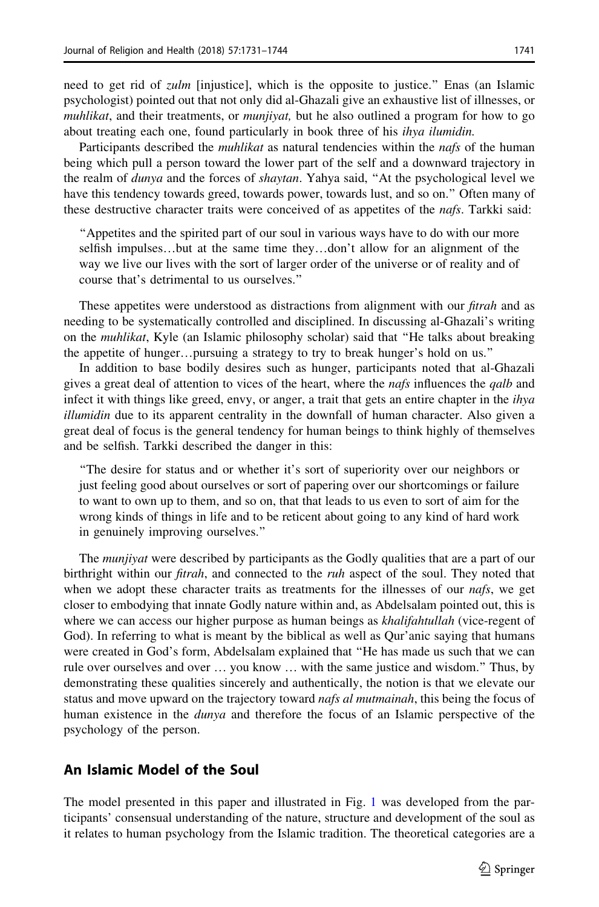need to get rid of *zulm* [injustice], which is the opposite to justice." Enas (an Islamic psychologist) pointed out that not only did al-Ghazali give an exhaustive list of illnesses, or muhlikat, and their treatments, or munjiyat, but he also outlined a program for how to go about treating each one, found particularly in book three of his *ihya ilumidin*.

Participants described the *muhlikat* as natural tendencies within the *nafs* of the human being which pull a person toward the lower part of the self and a downward trajectory in the realm of *dunya* and the forces of *shaytan*. Yahya said, "At the psychological level we have this tendency towards greed, towards power, towards lust, and so on.'' Often many of these destructive character traits were conceived of as appetites of the *nafs*. Tarkki said:

''Appetites and the spirited part of our soul in various ways have to do with our more selfish impulses…but at the same time they…don't allow for an alignment of the way we live our lives with the sort of larger order of the universe or of reality and of course that's detrimental to us ourselves.''

These appetites were understood as distractions from alignment with our *fitrah* and as needing to be systematically controlled and disciplined. In discussing al-Ghazali's writing on the muhlikat, Kyle (an Islamic philosophy scholar) said that ''He talks about breaking the appetite of hunger…pursuing a strategy to try to break hunger's hold on us.''

In addition to base bodily desires such as hunger, participants noted that al-Ghazali gives a great deal of attention to vices of the heart, where the *nafs* influences the *qalb* and infect it with things like greed, envy, or anger, a trait that gets an entire chapter in the  $ihya$ illumidin due to its apparent centrality in the downfall of human character. Also given a great deal of focus is the general tendency for human beings to think highly of themselves and be selfish. Tarkki described the danger in this:

''The desire for status and or whether it's sort of superiority over our neighbors or just feeling good about ourselves or sort of papering over our shortcomings or failure to want to own up to them, and so on, that that leads to us even to sort of aim for the wrong kinds of things in life and to be reticent about going to any kind of hard work in genuinely improving ourselves.''

The *munjiyat* were described by participants as the Godly qualities that are a part of our birthright within our *fitrah*, and connected to the *ruh* aspect of the soul. They noted that when we adopt these character traits as treatments for the illnesses of our *nafs*, we get closer to embodying that innate Godly nature within and, as Abdelsalam pointed out, this is where we can access our higher purpose as human beings as *khalifahtullah* (vice-regent of God). In referring to what is meant by the biblical as well as Qur'anic saying that humans were created in God's form, Abdelsalam explained that ''He has made us such that we can rule over ourselves and over … you know … with the same justice and wisdom.'' Thus, by demonstrating these qualities sincerely and authentically, the notion is that we elevate our status and move upward on the trajectory toward *nafs al mutmainah*, this being the focus of human existence in the *dunya* and therefore the focus of an Islamic perspective of the psychology of the person.

# An Islamic Model of the Soul

The model presented in this paper and illustrated in Fig. [1](#page-11-0) was developed from the participants' consensual understanding of the nature, structure and development of the soul as it relates to human psychology from the Islamic tradition. The theoretical categories are a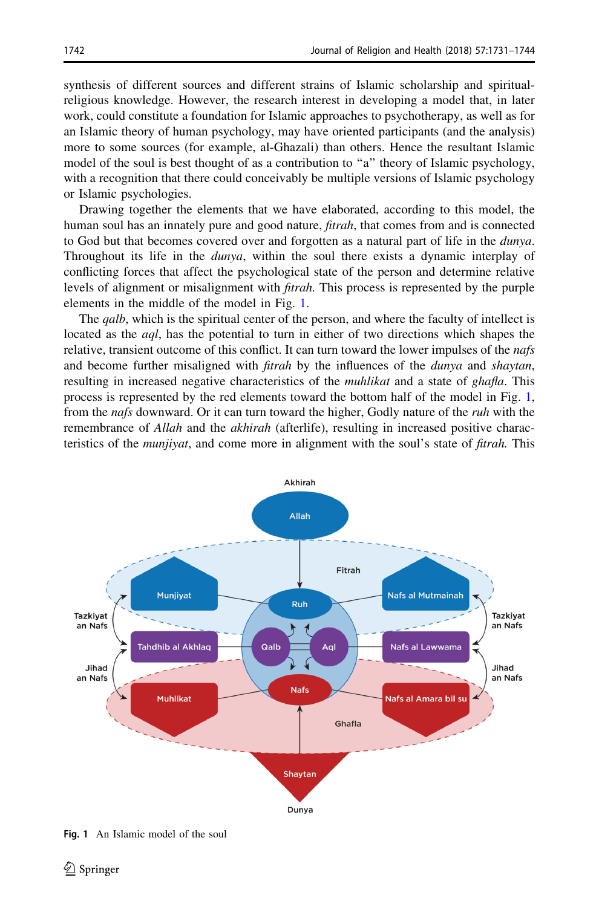<span id="page-11-0"></span>synthesis of different sources and different strains of Islamic scholarship and spiritualreligious knowledge. However, the research interest in developing a model that, in later work, could constitute a foundation for Islamic approaches to psychotherapy, as well as for an Islamic theory of human psychology, may have oriented participants (and the analysis) more to some sources (for example, al-Ghazali) than others. Hence the resultant Islamic model of the soul is best thought of as a contribution to "a" theory of Islamic psychology, with a recognition that there could conceivably be multiple versions of Islamic psychology or Islamic psychologies.

Drawing together the elements that we have elaborated, according to this model, the human soul has an innately pure and good nature, *fitrah*, that comes from and is connected to God but that becomes covered over and forgotten as a natural part of life in the *dunya*. Throughout its life in the *dunya*, within the soul there exists a dynamic interplay of conflicting forces that affect the psychological state of the person and determine relative levels of alignment or misalignment with fitrah. This process is represented by the purple elements in the middle of the model in Fig. 1.

The *galb*, which is the spiritual center of the person, and where the faculty of intellect is located as the *aql*, has the potential to turn in either of two directions which shapes the relative, transient outcome of this conflict. It can turn toward the lower impulses of the *nafs* and become further misaligned with *fitrah* by the influences of the *dunya* and *shaytan*, resulting in increased negative characteristics of the *muhlikat* and a state of *ghafla*. This process is represented by the red elements toward the bottom half of the model in Fig. 1, from the *nafs* downward. Or it can turn toward the higher, Godly nature of the *ruh* with the remembrance of *Allah* and the *akhirah* (afterlife), resulting in increased positive characteristics of the *munjiyat*, and come more in alignment with the soul's state of *fitrah*. This



Fig. 1 An Islamic model of the soul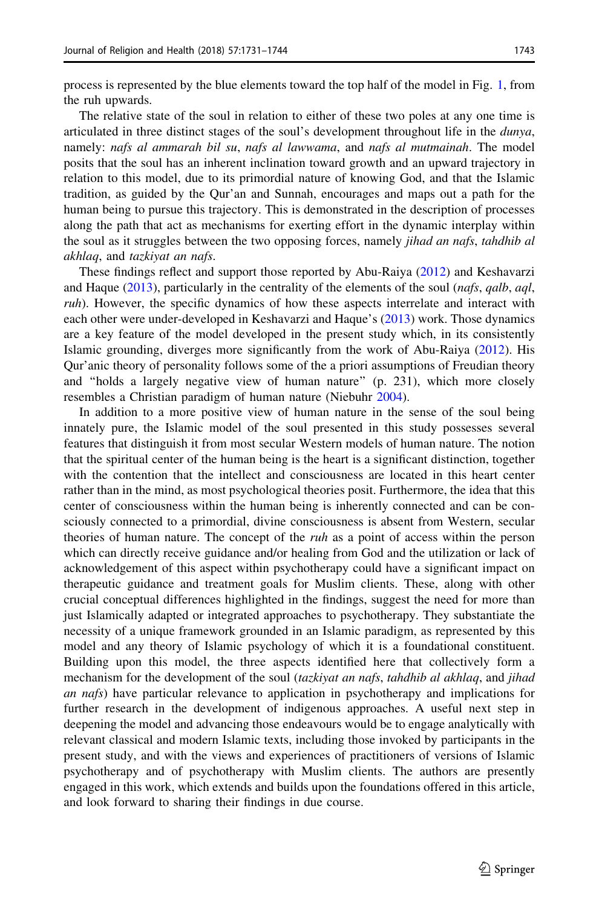process is represented by the blue elements toward the top half of the model in Fig. [1](#page-11-0), from the ruh upwards.

The relative state of the soul in relation to either of these two poles at any one time is articulated in three distinct stages of the soul's development throughout life in the *dunya*, namely: nafs al ammarah bil su, nafs al lawwama, and nafs al mutmainah. The model posits that the soul has an inherent inclination toward growth and an upward trajectory in relation to this model, due to its primordial nature of knowing God, and that the Islamic tradition, as guided by the Qur'an and Sunnah, encourages and maps out a path for the human being to pursue this trajectory. This is demonstrated in the description of processes along the path that act as mechanisms for exerting effort in the dynamic interplay within the soul as it struggles between the two opposing forces, namely *jihad an nafs*, *tahdhib al* akhlaq, and tazkiyat an nafs.

These findings reflect and support those reported by Abu-Raiya [\(2012](#page-13-0)) and Keshavarzi and Haque [\(2013](#page-13-0)), particularly in the centrality of the elements of the soul (*nafs*, *qalb*, *aql*, ruh). However, the specific dynamics of how these aspects interrelate and interact with each other were under-developed in Keshavarzi and Haque's [\(2013](#page-13-0)) work. Those dynamics are a key feature of the model developed in the present study which, in its consistently Islamic grounding, diverges more significantly from the work of Abu-Raiya ([2012](#page-13-0)). His Qur'anic theory of personality follows some of the a priori assumptions of Freudian theory and ''holds a largely negative view of human nature'' (p. 231), which more closely resembles a Christian paradigm of human nature (Niebuhr [2004](#page-13-0)).

In addition to a more positive view of human nature in the sense of the soul being innately pure, the Islamic model of the soul presented in this study possesses several features that distinguish it from most secular Western models of human nature. The notion that the spiritual center of the human being is the heart is a significant distinction, together with the contention that the intellect and consciousness are located in this heart center rather than in the mind, as most psychological theories posit. Furthermore, the idea that this center of consciousness within the human being is inherently connected and can be consciously connected to a primordial, divine consciousness is absent from Western, secular theories of human nature. The concept of the *ruh* as a point of access within the person which can directly receive guidance and/or healing from God and the utilization or lack of acknowledgement of this aspect within psychotherapy could have a significant impact on therapeutic guidance and treatment goals for Muslim clients. These, along with other crucial conceptual differences highlighted in the findings, suggest the need for more than just Islamically adapted or integrated approaches to psychotherapy. They substantiate the necessity of a unique framework grounded in an Islamic paradigm, as represented by this model and any theory of Islamic psychology of which it is a foundational constituent. Building upon this model, the three aspects identified here that collectively form a mechanism for the development of the soul *(tazkiyat an nafs, tahdhib al akhlaq, and jihad* an nafs) have particular relevance to application in psychotherapy and implications for further research in the development of indigenous approaches. A useful next step in deepening the model and advancing those endeavours would be to engage analytically with relevant classical and modern Islamic texts, including those invoked by participants in the present study, and with the views and experiences of practitioners of versions of Islamic psychotherapy and of psychotherapy with Muslim clients. The authors are presently engaged in this work, which extends and builds upon the foundations offered in this article, and look forward to sharing their findings in due course.